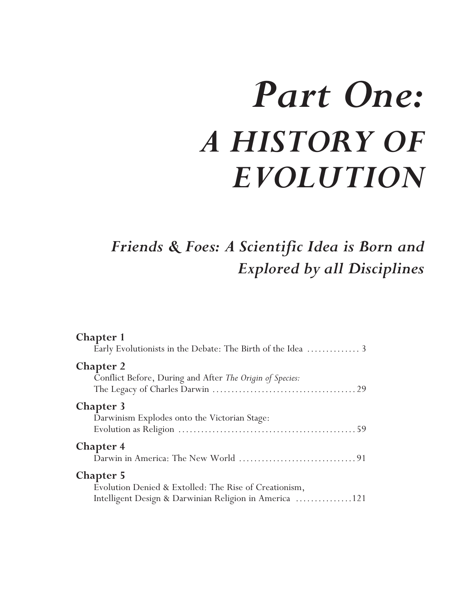# *Part One: A HISTORY OF EVOLUTION*

## *Friends & Foes: A Scientific Idea is Born and Explored by all Disciplines*

| <b>Chapter 1</b><br>Early Evolutionists in the Debate: The Birth of the Idea  3                                                     |
|-------------------------------------------------------------------------------------------------------------------------------------|
| <b>Chapter 2</b><br>Conflict Before, During and After The Origin of Species:                                                        |
| <b>Chapter 3</b><br>Darwinism Explodes onto the Victorian Stage:                                                                    |
| <b>Chapter 4</b>                                                                                                                    |
| <b>Chapter 5</b><br>Evolution Denied & Extolled: The Rise of Creationism,<br>Intelligent Design & Darwinian Religion in America 121 |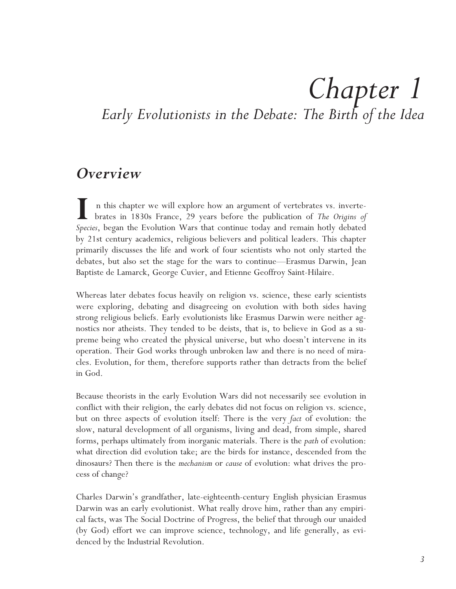*Chapter 1 Early Evolutionists in the Debate: The Birth of the Idea*

#### *Overview*

**I** n this chapter we will explore how an argument of vertebrates vs. invertebrates in 1830s France, 29 years before the publication of *The Origins of Species*, began the Evolution Wars that continue today and remain hotly debated by 21st century academics, religious believers and political leaders. This chapter primarily discusses the life and work of four scientists who not only started the debates, but also set the stage for the wars to continue—Erasmus Darwin, Jean Baptiste de Lamarck, George Cuvier, and Etienne Geoffroy Saint-Hilaire.

Whereas later debates focus heavily on religion vs. science, these early scientists were exploring, debating and disagreeing on evolution with both sides having strong religious beliefs. Early evolutionists like Erasmus Darwin were neither agnostics nor atheists. They tended to be deists, that is, to believe in God as a supreme being who created the physical universe, but who doesn't intervene in its operation. Their God works through unbroken law and there is no need of miracles. Evolution, for them, therefore supports rather than detracts from the belief in God.

Because theorists in the early Evolution Wars did not necessarily see evolution in conflict with their religion, the early debates did not focus on religion vs. science, but on three aspects of evolution itself: There is the very *fact* of evolution: the slow, natural development of all organisms, living and dead, from simple, shared forms, perhaps ultimately from inorganic materials. There is the *path* of evolution: what direction did evolution take; are the birds for instance, descended from the dinosaurs? Then there is the *mechanism* or *cause* of evolution: what drives the process of change?

Charles Darwin's grandfather, late-eighteenth-century English physician Erasmus Darwin was an early evolutionist. What really drove him, rather than any empirical facts, was The Social Doctrine of Progress, the belief that through our unaided (by God) effort we can improve science, technology, and life generally, as evidenced by the Industrial Revolution.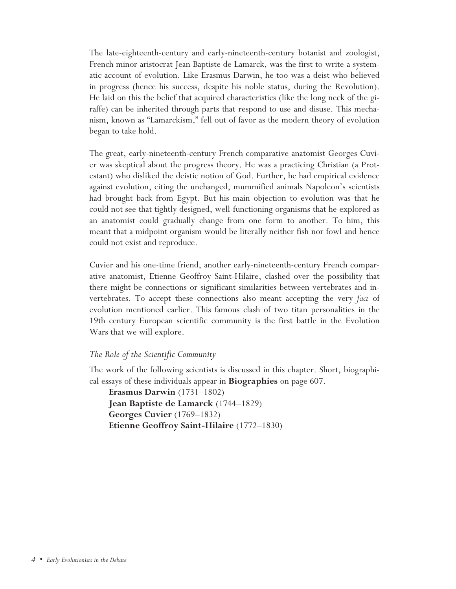The late-eighteenth-century and early-nineteenth-century botanist and zoologist, French minor aristocrat Jean Baptiste de Lamarck, was the first to write a systematic account of evolution. Like Erasmus Darwin, he too was a deist who believed in progress (hence his success, despite his noble status, during the Revolution). He laid on this the belief that acquired characteristics (like the long neck of the giraffe) can be inherited through parts that respond to use and disuse. This mechanism, known as "Lamarckism," fell out of favor as the modern theory of evolution began to take hold.

The great, early-nineteenth-century French comparative anatomist Georges Cuvier was skeptical about the progress theory. He was a practicing Christian (a Protestant) who disliked the deistic notion of God. Further, he had empirical evidence against evolution, citing the unchanged, mummified animals Napoleon's scientists had brought back from Egypt. But his main objection to evolution was that he could not see that tightly designed, well-functioning organisms that he explored as an anatomist could gradually change from one form to another. To him, this meant that a midpoint organism would be literally neither fish nor fowl and hence could not exist and reproduce.

Cuvier and his one-time friend, another early-nineteenth-century French comparative anatomist, Etienne Geoffroy Saint-Hilaire, clashed over the possibility that there might be connections or significant similarities between vertebrates and invertebrates. To accept these connections also meant accepting the very *fact* of evolution mentioned earlier. This famous clash of two titan personalities in the 19th century European scientific community is the first battle in the Evolution Wars that we will explore.

#### *The Role of the Scientific Community*

The work of the following scientists is discussed in this chapter. Short, biographical essays of these individuals appear in **Biographies** on page 607.

**Erasmus Darwin** (1731–1802) **Jean Baptiste de Lamarck** (1744–1829) **Georges Cuvier** (1769–1832) **Etienne Geoffroy Saint-Hilaire** (1772–1830)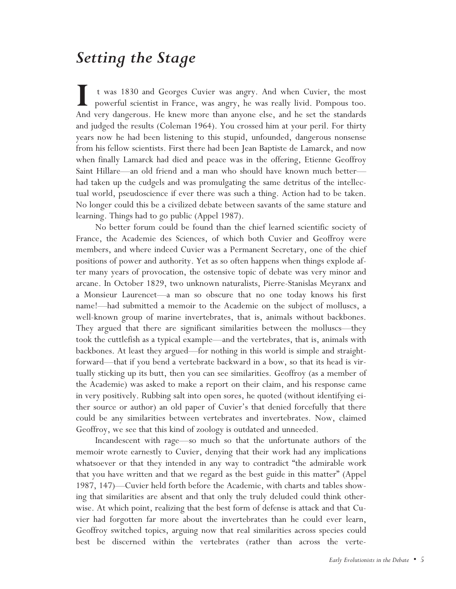#### *Setting the Stage*

I t was 1830 and Georges Cuvier was angry. And when Cuvier, the most powerful scientist in France, was angry, he was really livid. Pompous too. And very dangerous. He knew more than anyone else, and he set the standards powerful scientist in France, was angry, he was really livid. Pompous too. And very dangerous. He knew more than anyone else, and he set the standards and judged the results (Coleman 1964). You crossed him at your peril. For thirty years now he had been listening to this stupid, unfounded, dangerous nonsense from his fellow scientists. First there had been Jean Baptiste de Lamarck, and now when finally Lamarck had died and peace was in the offering, Etienne Geoffroy Saint Hillare—an old friend and a man who should have known much better had taken up the cudgels and was promulgating the same detritus of the intellectual world, pseudoscience if ever there was such a thing. Action had to be taken. No longer could this be a civilized debate between savants of the same stature and learning. Things had to go public (Appel 1987).

No better forum could be found than the chief learned scientific society of France, the Academie des Sciences, of which both Cuvier and Geoffroy were members, and where indeed Cuvier was a Permanent Secretary, one of the chief positions of power and authority. Yet as so often happens when things explode after many years of provocation, the ostensive topic of debate was very minor and arcane. In October 1829, two unknown naturalists, Pierre-Stanislas Meyranx and a Monsieur Laurencet—a man so obscure that no one today knows his first name!—had submitted a memoir to the Academie on the subject of molluscs, a well-known group of marine invertebrates, that is, animals without backbones. They argued that there are significant similarities between the molluscs—they took the cuttlefish as a typical example—and the vertebrates, that is, animals with backbones. At least they argued—for nothing in this world is simple and straightforward—that if you bend a vertebrate backward in a bow, so that its head is virtually sticking up its butt, then you can see similarities. Geoffroy (as a member of the Academie) was asked to make a report on their claim, and his response came in very positively. Rubbing salt into open sores, he quoted (without identifying either source or author) an old paper of Cuvier's that denied forcefully that there could be any similarities between vertebrates and invertebrates. Now, claimed Geoffroy, we see that this kind of zoology is outdated and unneeded.

Incandescent with rage—so much so that the unfortunate authors of the memoir wrote earnestly to Cuvier, denying that their work had any implications whatsoever or that they intended in any way to contradict "the admirable work that you have written and that we regard as the best guide in this matter" (Appel 1987, 147)—Cuvier held forth before the Academie, with charts and tables showing that similarities are absent and that only the truly deluded could think otherwise. At which point, realizing that the best form of defense is attack and that Cuvier had forgotten far more about the invertebrates than he could ever learn, Geoffroy switched topics, arguing now that real similarities across species could best be discerned within the vertebrates (rather than across the verte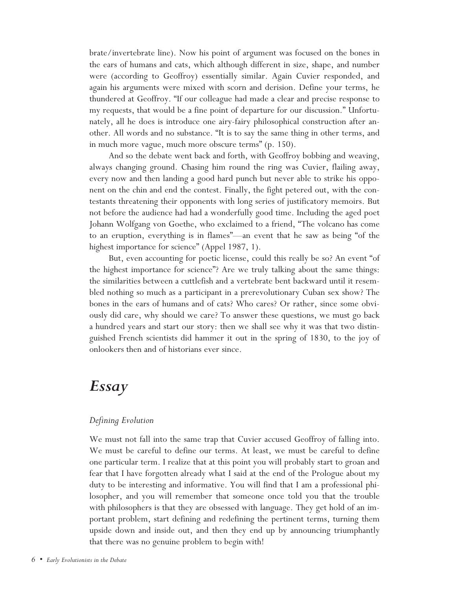brate/invertebrate line). Now his point of argument was focused on the bones in the ears of humans and cats, which although different in size, shape, and number were (according to Geoffroy) essentially similar. Again Cuvier responded, and again his arguments were mixed with scorn and derision. Define your terms, he thundered at Geoffroy. "If our colleague had made a clear and precise response to my requests, that would be a fine point of departure for our discussion." Unfortunately, all he does is introduce one airy-fairy philosophical construction after another. All words and no substance. "It is to say the same thing in other terms, and in much more vague, much more obscure terms" (p. 150).

And so the debate went back and forth, with Geoffroy bobbing and weaving, always changing ground. Chasing him round the ring was Cuvier, flailing away, every now and then landing a good hard punch but never able to strike his opponent on the chin and end the contest. Finally, the fight petered out, with the contestants threatening their opponents with long series of justificatory memoirs. But not before the audience had had a wonderfully good time. Including the aged poet Johann Wolfgang von Goethe, who exclaimed to a friend, "The volcano has come to an eruption, everything is in flames"—an event that he saw as being "of the highest importance for science" (Appel 1987, 1).

But, even accounting for poetic license, could this really be so? An event "of the highest importance for science"? Are we truly talking about the same things: the similarities between a cuttlefish and a vertebrate bent backward until it resembled nothing so much as a participant in a prerevolutionary Cuban sex show? The bones in the ears of humans and of cats? Who cares? Or rather, since some obviously did care, why should we care? To answer these questions, we must go back a hundred years and start our story: then we shall see why it was that two distinguished French scientists did hammer it out in the spring of 1830, to the joy of onlookers then and of historians ever since.

#### *Essay*

#### *Defining Evolution*

We must not fall into the same trap that Cuvier accused Geoffroy of falling into. We must be careful to define our terms. At least, we must be careful to define one particular term. I realize that at this point you will probably start to groan and fear that I have forgotten already what I said at the end of the Prologue about my duty to be interesting and informative. You will find that I am a professional philosopher, and you will remember that someone once told you that the trouble with philosophers is that they are obsessed with language. They get hold of an important problem, start defining and redefining the pertinent terms, turning them upside down and inside out, and then they end up by announcing triumphantly that there was no genuine problem to begin with!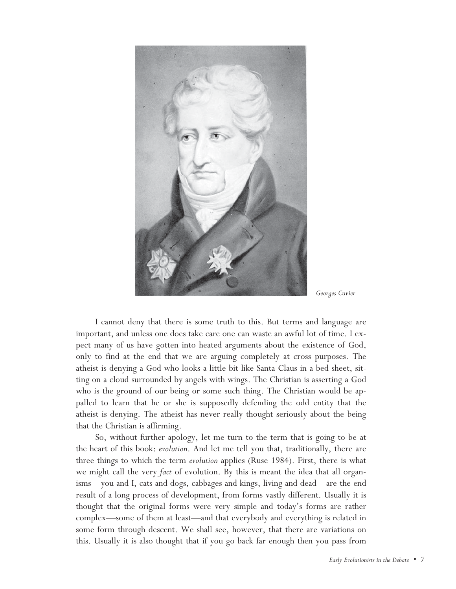

*Georges Cuvier*

I cannot deny that there is some truth to this. But terms and language are important, and unless one does take care one can waste an awful lot of time. I expect many of us have gotten into heated arguments about the existence of God, only to find at the end that we are arguing completely at cross purposes. The atheist is denying a God who looks a little bit like Santa Claus in a bed sheet, sitting on a cloud surrounded by angels with wings. The Christian is asserting a God who is the ground of our being or some such thing. The Christian would be appalled to learn that he or she is supposedly defending the odd entity that the atheist is denying. The atheist has never really thought seriously about the being that the Christian is affirming.

So, without further apology, let me turn to the term that is going to be at the heart of this book: *evolution*. And let me tell you that, traditionally, there are three things to which the term *evolution* applies (Ruse 1984). First, there is what we might call the very *fact* of evolution. By this is meant the idea that all organisms—you and I, cats and dogs, cabbages and kings, living and dead—are the end result of a long process of development, from forms vastly different. Usually it is thought that the original forms were very simple and today's forms are rather complex—some of them at least—and that everybody and everything is related in some form through descent. We shall see, however, that there are variations on this. Usually it is also thought that if you go back far enough then you pass from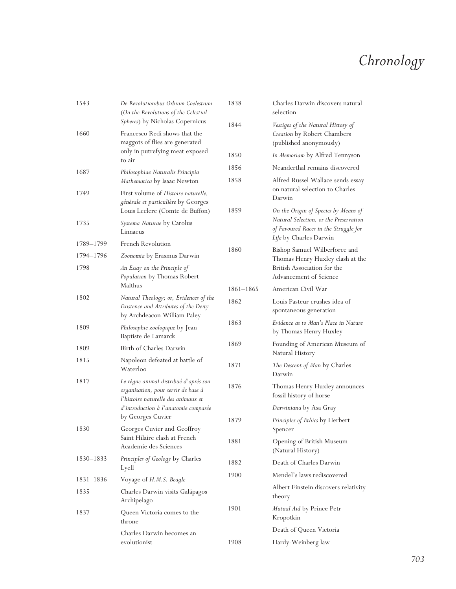# *Chronology*

| 1543      | De Revolutionibus Orbium Coelestium<br>(On the Revolutions of the Celestial                                                                                 | 1838      | Charles Darwin discovers natural<br>selection                                                                              |
|-----------|-------------------------------------------------------------------------------------------------------------------------------------------------------------|-----------|----------------------------------------------------------------------------------------------------------------------------|
| 1660      | Spheres) by Nicholas Copernicus<br>Francesco Redi shows that the<br>maggots of flies are generated                                                          | 1844      | Vestiges of the Natural History of<br>Creation by Robert Chambers<br>(published anonymously)                               |
|           | only in putrefying meat exposed<br>to air                                                                                                                   | 1850      | In Memoriam by Alfred Tennyson                                                                                             |
| 1687      | Philosophiae Naturalis Principia<br>Mathematica by Isaac Newton                                                                                             | 1856      | Neanderthal remains discovered                                                                                             |
|           |                                                                                                                                                             | 1858      | Alfred Russel Wallace sends essay                                                                                          |
| 1749      | First volume of Histoire naturelle,<br>générale et particulière by Georges<br>Louis Leclerc (Comte de Buffon)                                               |           | on natural selection to Charles<br>Darwin                                                                                  |
|           |                                                                                                                                                             | 1859      | On the Origin of Species by Means of                                                                                       |
| 1735      | <i>Systema Naturae</i> by Carolus<br>Linnaeus                                                                                                               |           | Natural Selection, or the Preservation<br>of Favoured Races in the Struggle for                                            |
| 1789–1799 | <b>French Revolution</b>                                                                                                                                    | 1860      | Life by Charles Darwin                                                                                                     |
| 1794-1796 | Zoonomia by Erasmus Darwin                                                                                                                                  |           | Bishop Samuel Wilberforce and<br>Thomas Henry Huxley clash at the<br>British Association for the<br>Advancement of Science |
| 1798      | An Essay on the Principle of<br>Population by Thomas Robert<br>Malthus                                                                                      |           |                                                                                                                            |
|           |                                                                                                                                                             | 1861–1865 | American Civil War                                                                                                         |
| 1802      | Natural Theology; or, Evidences of the<br>Existence and Attributes of the Deity<br>by Archdeacon William Paley                                              | 1862      | Louis Pasteur crushes idea of<br>spontaneous generation                                                                    |
| 1809      | Philosophie zoologique by Jean<br>Baptiste de Lamarck                                                                                                       | 1863      | Evidence as to Man's Place in Nature<br>by Thomas Henry Huxley                                                             |
| 1809      | Birth of Charles Darwin                                                                                                                                     | 1869      | Founding of American Museum of                                                                                             |
| 1815      | Napoleon defeated at battle of<br>Waterloo                                                                                                                  | 1871      | Natural History<br>The Descent of Man by Charles<br>Darwin                                                                 |
| 1817      | Le règne animal distribué d'aprés son<br>organisation, pour servir de base à<br>l'histoire naturelle des animaux et<br>d'introduction à l'anatomie comparée | 1876      | Thomas Henry Huxley announces<br>fossil history of horse                                                                   |
|           |                                                                                                                                                             |           | Darwiniana by Asa Gray                                                                                                     |
| 1830      | by Georges Cuvier<br>Georges Cuvier and Geoffroy                                                                                                            | 1879      | Principles of Ethics by Herbert<br>Spencer                                                                                 |
|           | Saint Hilaire clash at French<br>Academie des Sciences                                                                                                      | 1881      | Opening of British Museum<br>(Natural History)                                                                             |
| 1830-1833 | Principles of Geology by Charles                                                                                                                            | 1882      | Death of Charles Darwin                                                                                                    |
| 1831-1836 | Lyell<br>Voyage of H.M.S. Beagle                                                                                                                            | 1900      | Mendel's laws rediscovered                                                                                                 |
| 1835      | Charles Darwin visits Galápagos<br>Archipelago                                                                                                              |           | Albert Einstein discovers relativity<br>theory                                                                             |
| 1837      | Queen Victoria comes to the<br>throne                                                                                                                       | 1901      | Mutual Aid by Prince Petr<br>Kropotkin                                                                                     |
|           | Charles Darwin becomes an                                                                                                                                   |           | Death of Queen Victoria                                                                                                    |
|           | evolutionist                                                                                                                                                | 1908      | Hardy-Weinberg law                                                                                                         |